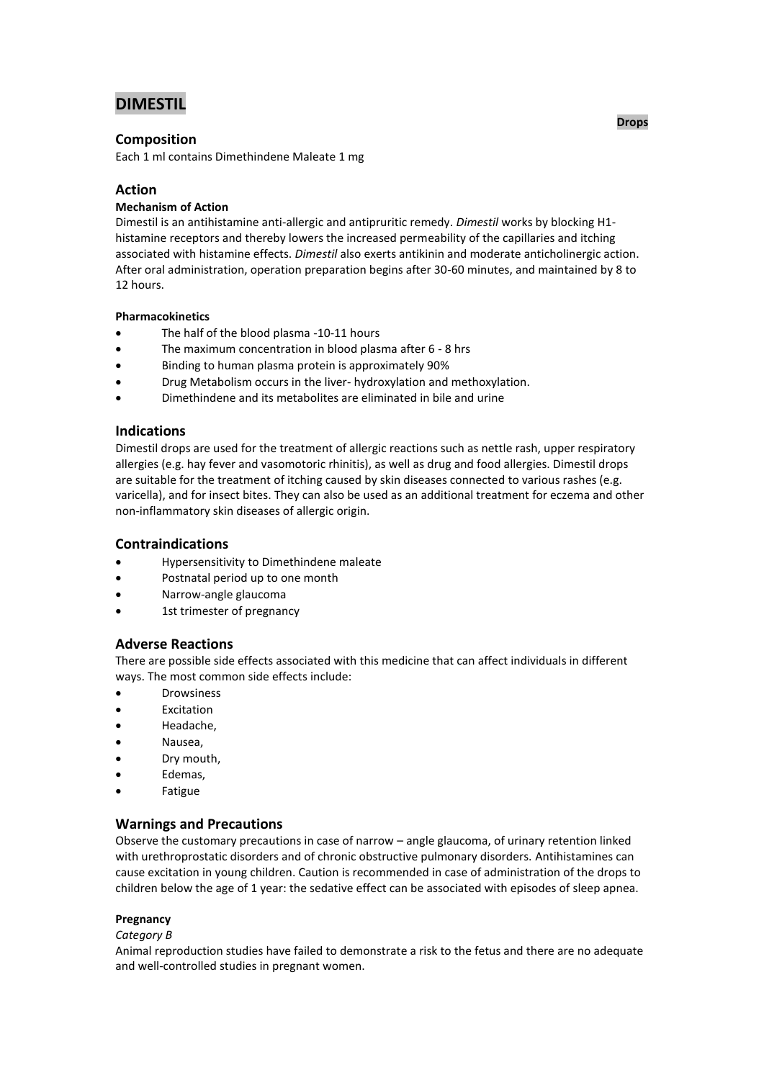# **DIMESTIL**

# **Composition**

Each 1 ml contains Dimethindene Maleate 1 mg

# **Action**

## **Mechanism of Action**

Dimestil is an antihistamine anti-allergic and antipruritic remedy. *Dimestil* works by blocking H1 histamine receptors and thereby lowers the increased permeability of the capillaries and itching associated with histamine effects. *Dimestil* also exerts antikinin and moderate anticholinergic action. After oral administration, operation preparation begins after 30-60 minutes, and maintained by 8 to 12 hours.

## **Pharmacokinetics**

- The half of the blood plasma -10-11 hours
- The maximum concentration in blood plasma after 6 8 hrs
- Binding to human plasma protein is approximately 90%
- Drug Metabolism occurs in the liver- hydroxylation and methoxylation.
- Dimethindene and its metabolites are eliminated in bile and urine

## **Indications**

Dimestil drops are used for the treatment of allergic reactions such as nettle rash, upper respiratory allergies (e.g. hay fever and vasomotoric rhinitis), as well as drug and food allergies. Dimestil drops are suitable for the treatment of itching caused by skin diseases connected to various rashes (e.g. varicella), and for insect bites. They can also be used as an additional treatment for eczema and other non-inflammatory skin diseases of allergic origin.

## **Contraindications**

- Hypersensitivity to Dimethindene maleate
- Postnatal period up to one month
- Narrow-angle glaucoma
- 1st trimester of pregnancy

# **Adverse Reactions**

There are possible side effects associated with this medicine that can affect individuals in different ways. The most common side effects include:

- **•** Drowsiness
- Excitation
- Headache,
- Nausea,
- Dry mouth,
- Edemas,
- Fatigue

# **Warnings and Precautions**

Observe the customary precautions in case of narrow – angle glaucoma, of urinary retention linked with urethroprostatic disorders and of chronic obstructive pulmonary disorders. Antihistamines can cause excitation in young children. Caution is recommended in case of administration of the drops to children below the age of 1 year: the sedative effect can be associated with episodes of sleep apnea.

## **Pregnancy**

## *Category B*

Animal reproduction studies have failed to demonstrate a risk to the fetus and there are no adequate and well-controlled studies in pregnant women.